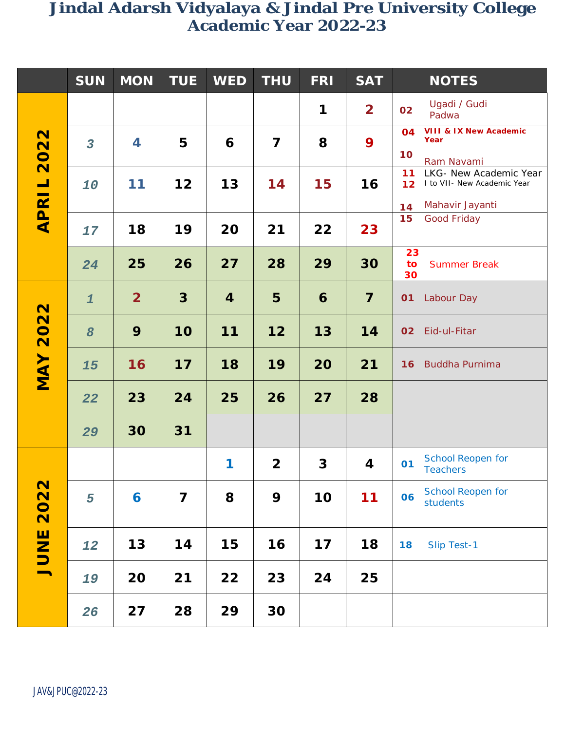### **SUN MON TUE WED THU FRI SAT NOTES APRIL 2022 1 2 <sup>02</sup>** Ugadi / Gudi Padwa *3* **4 5 6 7 8 9 04 10 VIII & IX New Academic Year** Ram Navami *10* **11 12 13 14 15 16 11 12 14** LKG- New Academic Year I to VII- New Academic Year Mahavir Jayanti *17* **18 19 20 21 22 23 15** Good Friday *24* **25 26 27 28 29 30 23 to 30** Summer Break **MAY 2022** *1* **2 3 4 5 6 7 <sup>01</sup>** Labour Day *8* **9 10 11 12 13 14 <sup>02</sup>** Eid-ul-Fitar *15* **16 17 18 19 20 21 <sup>16</sup>** Buddha Purnima *22* **23 24 25 26 27 28** *29* **30 31 JUNE 2022 1 2 3 4 <sup>01</sup>** School Reopen for **Teachers** *5* **6 7 8 9 10 11 <sup>06</sup>** School Reopen for students *12* **13 14 15 16 17 18 18** Slip Test-1 *19* **20 21 22 23 24 25**  *26* **27 28 29 30**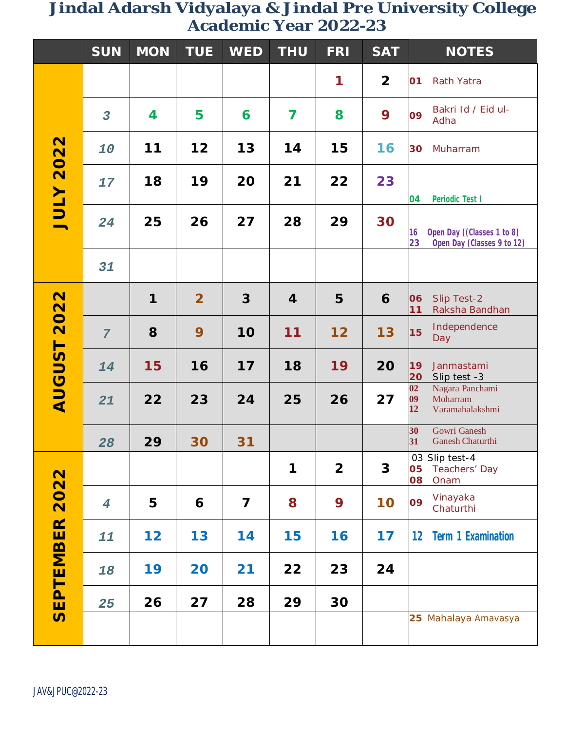|                          | <b>SUN</b>              | <b>MON</b> | <b>TUE</b>     | <b>WED</b>              | <b>THU</b> | <b>FRI</b>     | <b>SAT</b>     | <b>NOTES</b>                                                                                                 |
|--------------------------|-------------------------|------------|----------------|-------------------------|------------|----------------|----------------|--------------------------------------------------------------------------------------------------------------|
| <b>JULY 2022</b>         |                         |            |                |                         |            | 1              | $\overline{2}$ | 01<br><b>Rath Yatra</b>                                                                                      |
|                          | $\overline{\mathbf{3}}$ | 4          | 5              | 6                       | 7          | 8              | 9              | Bakri Id / Eid ul-<br>09<br>Adha                                                                             |
|                          | 10                      | 11         | 12             | 13                      | 14         | 15             | 16             | 30<br>Muharram                                                                                               |
|                          | 17                      | 18         | 19             | 20                      | 21         | 22             | 23             | 04<br>Periodic Test I                                                                                        |
|                          | 24                      | 25         | 26             | 27                      | 28         | 29             | 30             | Open Day ((Classes 1 to 8)<br>16<br>23<br>Open Day (Classes 9 to 12)                                         |
|                          | 31                      |            |                |                         |            |                |                |                                                                                                              |
| 2022<br><b>AUGUST</b>    |                         | 1          | $\overline{2}$ | $\overline{3}$          | 4          | 5              | 6              | 06<br>Slip Test-2<br>11<br>Raksha Bandhan                                                                    |
|                          | $\overline{7}$          | 8          | 9              | 10                      | 11         | 12             | 13             | Independence<br>15<br>Day                                                                                    |
|                          | 14                      | 15         | 16             | 17                      | 18         | 19             | 20             | 19<br>Janmastami<br>20<br>Slip test -3                                                                       |
|                          | 21                      | 22         | 23             | 24                      | 25         | 26             | 27             | $\overline{\mathbf{02}}$<br>Nagara Panchami<br>$\overline{\mathbf{09}}$<br>Moharram<br>12<br>Varamahalakshmi |
|                          | 28                      | 29         | 30             | 31                      |            |                |                | Gowri Ganesh<br>30<br><b>Ganesh Chaturthi</b><br>31                                                          |
| 2022<br><b>SEPTEMBER</b> |                         |            |                |                         | 1          | $\overline{2}$ | 3              | 03 Slip test-4<br>Teachers' Day<br>05<br>80<br>Onam                                                          |
|                          | $\boldsymbol{4}$        | 5          | 6              | $\overline{\mathbf{z}}$ | 8          | 9              | 10             | Vinayaka<br>09<br>Chaturthi                                                                                  |
|                          | 11                      | 12         | 13             | 14                      | 15         | 16             | 17             | 12<br><b>Term 1 Examination</b>                                                                              |
|                          | 18                      | 19         | 20             | 21                      | 22         | 23             | 24             |                                                                                                              |
|                          | 25                      | 26         | 27             | 28                      | 29         | 30             |                |                                                                                                              |
|                          |                         |            |                |                         |            |                |                | 25 Mahalaya Amavasya                                                                                         |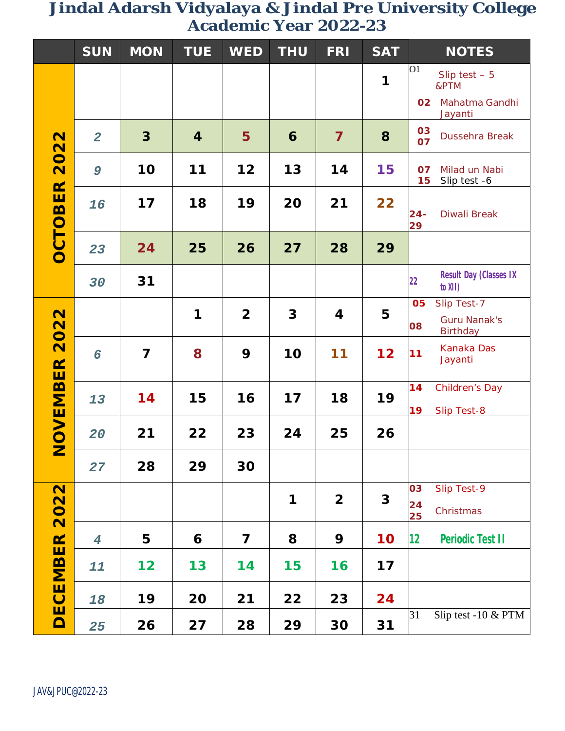|                                      | <b>SUN</b>     | <b>MON</b>     | <b>TUE</b> | <b>WED</b>     | <b>THU</b> | <b>FRI</b>              | <b>SAT</b> | <b>NOTES</b>                                     |
|--------------------------------------|----------------|----------------|------------|----------------|------------|-------------------------|------------|--------------------------------------------------|
| $\mathbf N$<br>202<br><b>OCTOBER</b> |                |                |            |                |            |                         | 1          | O <sub>1</sub><br>Slip test $-5$<br>&PTM         |
|                                      |                |                |            |                |            |                         |            | Mahatma Gandhi<br>02<br>Jayanti                  |
|                                      | $\overline{2}$ | 3              | 4          | 5              | 6          | $\overline{\mathbf{z}}$ | 8          | 03<br>Dussehra Break<br>07                       |
|                                      | 9              | 10             | 11         | 12             | 13         | 14                      | 15         | 07<br>Milad un Nabi<br>15<br>Slip test -6        |
|                                      | 16             | 17             | 18         | 19             | 20         | 21                      | 22         | $24 -$<br>Diwali Break<br>29                     |
|                                      | 23             | 24             | 25         | 26             | 27         | 28                      | 29         |                                                  |
|                                      | 30             | 31             |            |                |            |                         |            | <b>Result Day (Classes IX</b><br>22<br>to XII)   |
| 2022<br><b>NOVEMBER</b>              |                |                | 1          | $\overline{2}$ | 3          | 4                       | 5          | Slip Test-7<br>05<br><b>Guru Nanak's</b><br>80   |
|                                      | 6              | $\overline{7}$ | 8          | 9              | 10         | 11                      | 12         | Birthday<br>Kanaka Das<br>11<br>Jayanti          |
|                                      | 13             | 14             | 15         | 16             | 17         | 18                      | 19         | 14<br><b>Children's Day</b><br>19<br>Slip Test-8 |
|                                      | 20             | 21             | 22         | 23             | 24         | 25                      | 26         |                                                  |
|                                      | 27             | 28             | 29         | 30             |            |                         |            |                                                  |
| 2022<br><b>DECEMBER</b>              |                |                |            |                | 1          | $\overline{\mathbf{2}}$ | 3          | Slip Test-9<br>03<br>24<br>Christmas<br>25       |
|                                      | $\overline{4}$ | 5              | 6          | 7              | 8          | 9                       | 10         | $12 \,$<br><b>Periodic Test II</b>               |
|                                      | 11             | 12             | 13         | 14             | 15         | 16                      | 17         |                                                  |
|                                      | 18             | 19             | 20         | 21             | 22         | 23                      | 24         |                                                  |
|                                      | 25             | 26             | 27         | 28             | 29         | 30                      | 31         | Slip test -10 & PTM<br>31                        |